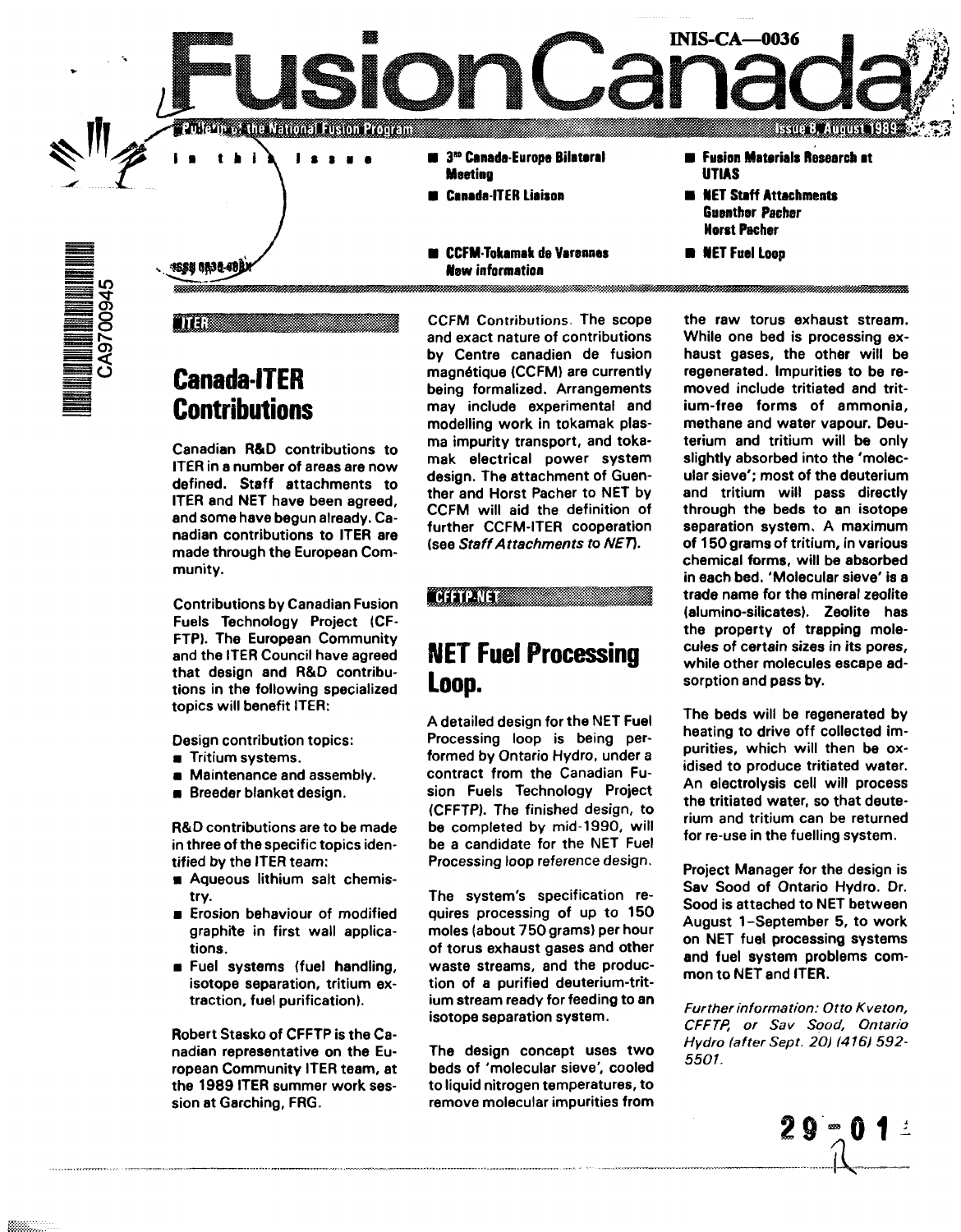<u> 17 martin (André) 1800 Medicin</u> **3"° CanadaEurops Bilateral**

- **Meeting**
- **Canada ITER Liaison**
- **CCFM-Tokamak de Varennes Mew information**
- **Fusion Materials Research at UTIAS**

**Issue 8, August** 

- **NET Staff Attachments Guenther Pacher Horst Pacher**
- **NET Fuel Loop**

**INIS-CA—0036**

ISSU ONJO 49)

tter:

**ENTERNATIONAL ENTREPRISE** 

**Canada-iTER Contributions**

**Canadian R&D contributions to ITER in a number of areas are now defined. Staff attachments to ITER and NET have been agreed, and some have begun already. Canadian contributions to ITER are made through the European Community.**

**Contributions by Canadian Fusion Fuels Technology Project (CF-FTP). The European Community and the ITER Council have agreed that design and R&O contributions in the following specialized topics will benefit ITER:**

**Design contribution topics:**

- **Tritium systems.**
- **Maintenance and assembly.**
- **Breeder blanket design.**

**R&D contributions are to be made in three of the specific topics identified by the ITER team:**

- **Aqueous lithium salt chemistry.**
- **Erosion behaviour of modified graphite in first wall applications.**
- **Fuel systems (fuel handling, isotope separation, tritium extraction, fuel purification).**

**Robert Stasko of CFFTP is the Canadian representative on the European Community ITER team, at the 1989 ITER summer work session at Garching, FRG.**

**CCFM Contributions. The scope and exact nature of contributions by Centre canadien de fusion magnetique (CCFM) are currently being formalized. Arrangements may include experimental and modelling work in tokamak plasma impurity transport, and tokamak electrical power system design. The attachment of Guenther and Horst Pacher to NET by CCFM will aid the definition of further CCFM-ITER cooperation (see Staff Attachments to NET).**

### **LCFFTP-NET**

# **NET Fuel Processing Loop.**

**A detailed design for the NET Fuel Processing loop is being performed by Ontario Hydro, under a contract from the Canadian Fusion Fuels Technology Project (CFFTP). The finished design, to be completed by mid-1990, will be a candidate for the NET Fuel Processing loop reference design.**

**The system's specification requires processing of up to 150 moles (about 750 grams) per hour of torus exhaust gases and other waste streams, and the production of a purified deuterium-tritium stream ready for feeding to an isotope separation system.**

**The design concept uses two beds of 'molecular sieve', cooled to liquid nitrogen temperatures, to remove molecular impurities from**

**the raw torus exhaust stream. While one bed is processing exhaust gases, the other will be regenerated. Impurities to be removed include tritiated and tritium-free forms of ammonia, methane and water vapour. Deuterium and tritium will be only slightly absorbed into the 'molecular sieve'; most of the deuterium and tritium will pass directly through the beds to an isotope separation system. A maximum of 150 grams of tritium, in various chemical forms, will be absorbed in each bed. 'Molecular sieve' is a trade name for the mineral zeolite (alumino-silicates). Zeolite has the property of trapping molecules of certain sizes in its pores, while other molecules escape adsorption and pass by.**

**The beds will be regenerated by heating to drive off collected impurities, which will then be oxidised to produce tritiated water. An electrolysis cell will process the tritiated water, so that deuterium and tritium can be returned for re-use in the fuelling system.**

**Project Manager for the design is Sav Sood of Ontario Hydro. Dr. Sood is attached to NET between August 1-September 5, to work on NET fuel processing systems and fuel system problems common to NET and ITER.**

**Further information: Otto Kveton, CFFTP, or Sav Sqod, Ontario Hydro (after Sept. 20) (416) 592- 5501.**

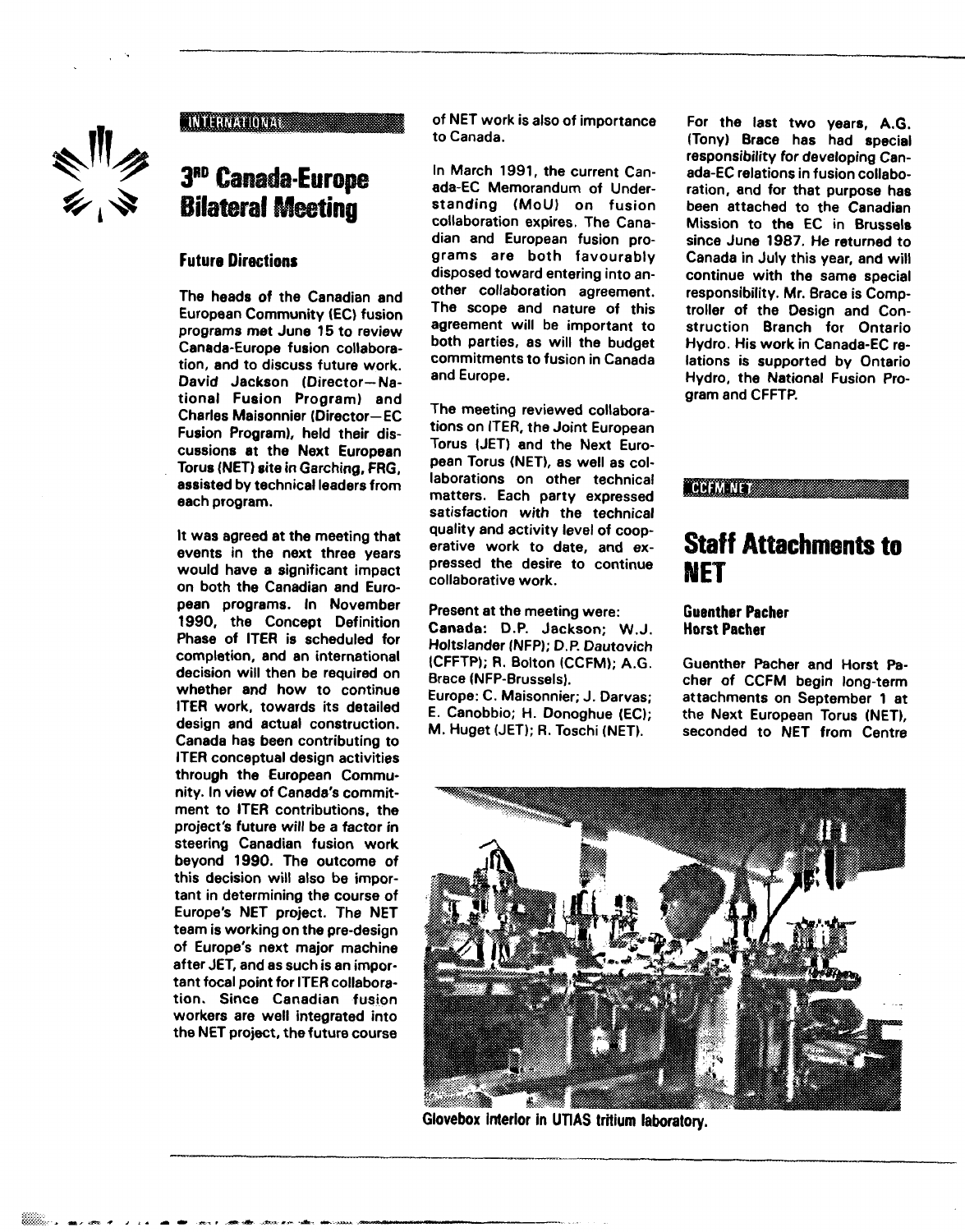

### **INTERNATIONAL**

# **3 RD Canada-Europe**

### **Future Directions**

**The heads of the Canadian and European Community (EC) fusion programs met June 15 to review Canada-Europe fusion collaboration, and to discuss future work. David Jackson (Director—National Fusion Program) and Charles Maisonnier (Director—EC Fusion Program), held their discussions at the Next European Torus (NET) site in Garching, FRG, assisted by technical leaders from each program.**

**It was agreed at the meeting that events in the next three years would have a significant impact on both the Canadian and European programs. In November 1990, the Concept Definition Phase of ITER is scheduled for completion, and an international decision will then be required on whether and how to continue ITER work, towards its detailed design and actual construction. Canada has been contributing to ITER conceptual design activities through the European Community. In view of Canada's commitment to ITER contributions, the project's future will be a factor in steering Canadian fusion work beyond 1990. The outcome of this decision will also be important in determining the course of Europe's NET project. The NET team is working on the pre-design of Europe's next major machine after JET, and as such is an important focal point for ITER collaboration. Since Canadian fusion workers are well integrated into the NET project, the future course**

**of NET work is also of importance to Canada.**

**In March 1991, the current Canada-EC Memorandum of Understanding (MoU) on fusion collaboration expires. The Canadian and European fusion programs are both favourably disposed toward entering into another collaboration agreement. The scope and nature of this agreement will be important to both parties, as will the budget commitments to fusion in Canada and Europe.**

**The meeting reviewed collaborations on ITER, the Joint European Torus (JET) and the Next European Torus (NET), as well as collaborations on other technical matters. Each party expressed satisfaction with the technical quality and activity level of cooperative work to date, and expressed the desire to continue collaborative work.**

**Present at the meeting were: Canada: D.P. Jackson; W.J. Holtslander (NFP); D.P. Dautovich (CFFTP); R. Bolton (CCFM); A.G. Brace (NFP-Brussels).**

**Europe: C. Maisonnier; J. Darvas; E. Canobbio; H. Donoghue (EC); M. Huget (JET); R. Toschi (NET).**

**For the last two years, A.G. (Tony) Brace has had special responsibility for developing Canada-EC relations in fusion collaboration, and for that purpose has been attached to the Canadian Mission to the EC in Brussels since June 1987. He returned to Canada in July this year, and will continue with the same special responsibility. Mr. Brace is Comptroller of the Design and Construction Branch for Ontario Hydro. His work in Canada-EC relations is supported by Ontario Hydro, the National Fusion Program and CFFTP.**

**CCFM NET** 

### **Staff Attachments to NET**

### **Guenther Pacher Horst Pacher**

**Guenther Pacher and Horst Pacher of CCFM begin long-term attachments on September 1 at the Next European Torus (NET), seconded to NET from Centre**



**Giovebox inierior in UTiAS tritium laboratory.**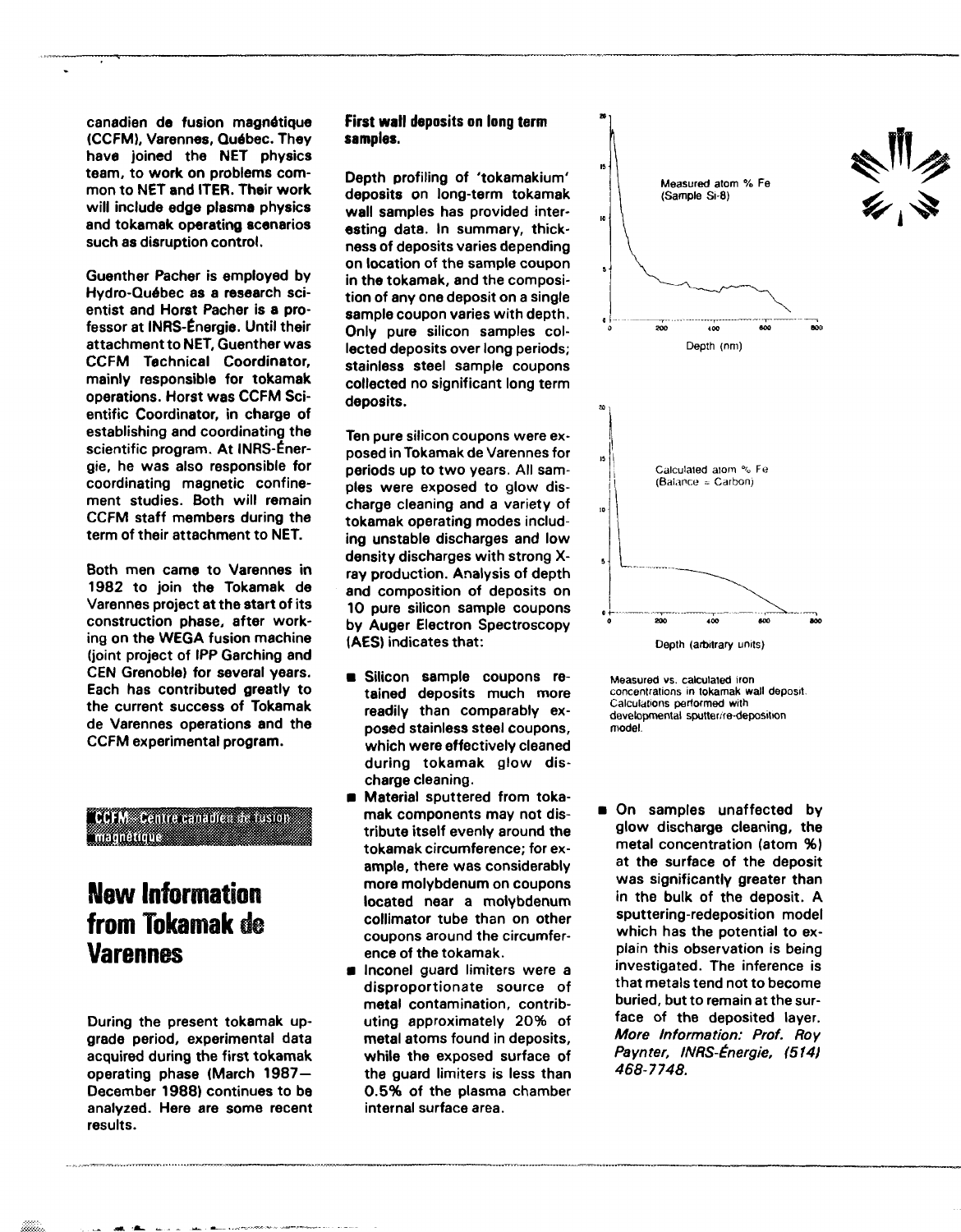canadien de fusion magnétique (CCFM), Varennes, Québec. They have joined the NET physics team, to work on problems common to NET and ITER. Their work will include **edge** plasma physics and tokamak operating scenarios such as disruption control.

Guenther Pacher is employed by Hydro-Qudbec as a research scientist and Horst Pacher is a professor at INRS-Energie. Until their attachment to NET, Guenther was CCFM Technical Coordinator, mainly responsible for tokamak operations. Horst was CCFM Scientific Coordinator, in charge of establishing and coordinating the scientific program. At INRS-Energie, he was also responsible for coordinating magnetic confinement studies. Both will remain CCFM staff members during the term of their attachment to NET.

Both men came to Varennes in 1982 to join the Tokamak de Varennes project at the start of its construction phase, after working on the WEGA fusion machine (joint project of IPP Garching and CEN Grenoble) for several years. Each has contributed greatly to the current success of Tokamak de Varennes operations and the CCFM experimental program.

**COFM** Centre canadies in usion **MEDILLIONS** 

# **New Information from Tokamak de Varennes**

During the present tokamak upgrade period, experimental data acquired during the first tokamak operating phase (March 1987— December 1988) continues to be analyzed. Here are some recent results.

### **First wall deposits on long term samples.**

Depth profiling of 'tokamakium' deposits on long-term tokamak wall samples has provided interesting data. In summary, thickness of deposits varies depending on location of the sample coupon in the tokamak, and the composition of any one deposit on a single sample coupon varies with depth. Only pure silicon samples collected deposits over long periods; stainless steel sample coupons collected no significant long term deposits.

Ten pure silicon coupons were exposed in Tokamak de Varennes for periods up to two years. All samples were exposed to glow discharge cleaning and a variety of tokamak operating modes including unstable discharges and low density discharges with strong Xray production. Analysis of depth and composition of deposits on 10 pure silicon sample coupons by Auger Electron Spectroscopy **(AES)** indicates that:

- **B** Silicon sample coupons retained deposits much more readily than comparably exposed stainless steel coupons, which were effectively cleaned during tokamak glow discharge cleaning.
- **B** Material sputtered from tokamak components may not distribute itself evenly around the tokamak circumference; for example, there was considerably more molybdenum on coupons located near a molybdenum collimator tube than on other coupons around the circumference of the tokamak.
- Inconel guard limiters were a disproportionate source of metal contamination, contributing approximately 20% of metal atoms found in deposits, while the exposed surface of the guard limiters is less than 0.5% of the plasma chamber internal surface area.





On samples unaffected by glow discharge cleaning, the metal concentration (atom %) at the surface of the deposit was significantly greater than in the bulk of the deposit. A sputtering-redeposition model which has the potential to explain this observation is being investigated. The inference is that metals tend not to become buried, but to remain at the surface of the deposited layer. More Information: Prof. Roy Paynter, INRS-Energie, (514) 468-7748.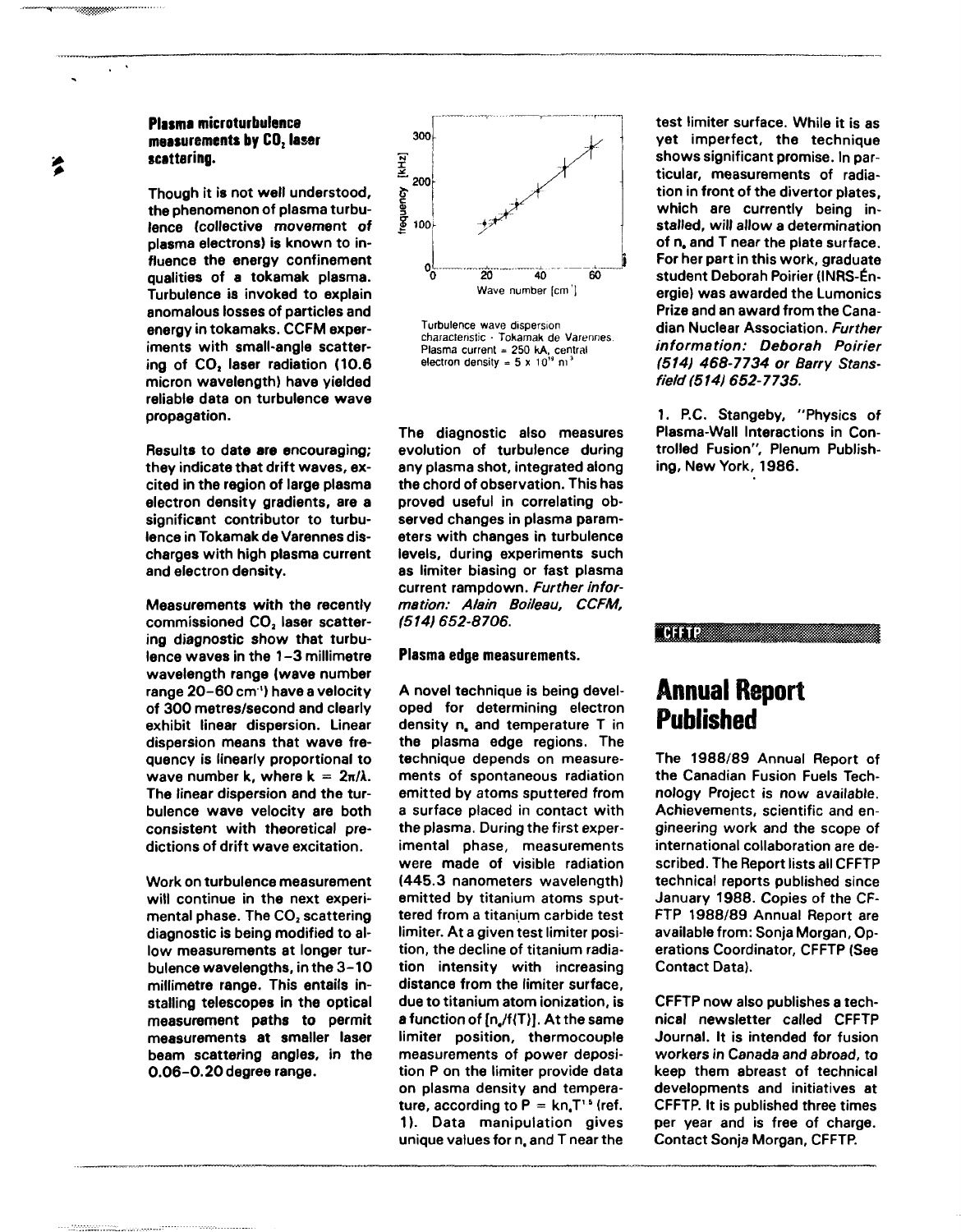### **Plasma microturbulence measurements by CO, laser scattering.**

**Though it is not well understood, the phenomenon of plasma turbulence (collective movement of plasma electrons) is known to influence the energy confinement qualities of a tokamak plasma. Turbulence is invoked to explain anomalous losses of particles and energy in tokamaks. CCFM experiments with small-angle scattering of CO, laser radiation (10.6 micron wavelength) have yielded reliable data on turbulence wave propagation.**

**Results to date are encouraging; they indicate that drift waves, excited in the region of large plasma electron density gradients, are a significant contributor to turbulence in Tokamak de Varennes discharges with high plasma current and electron density.**

**Measurements with the recently commissioned CO, laser scattering diagnostic show that turbulence waves in the 1 - 3 millimetre wavelength range (wave number range 20-60 cm') have a velocity of 300 metres/second and clearly exhibit linear dispersion. Linear dispersion means that wave frequency is linearly proportional to wave number k, where k =**  $2\pi/\lambda$ **. The linear dispersion and the turbulence wave velocity are both consistent with theoretical predictions of drift wave excitation.**

**Work on turbulence measurement will continue in the next experimental phase. The CO<sub>2</sub>** scattering **diagnostic is being modified to allow measurements at longer turbulence wavelengths, in the 3-10 millimetre range. This entails installing telescopes in the optical measurement paths to permit measurements at smaller laser beam scattering angles, in the 0.06-0.20 degree range.**



Turbulence wave dispersion characteristic • Tokamak de Varennes. Plasma current = 250 kA, central electron density =  $5 \times 10^{19}$  m<sup>3</sup>

**The diagnostic also measures evolution of turbulence during any plasma shot, integrated along the chord of observation. This has proved useful in correlating observed changes in plasma parameters with changes in turbulence levels, during experiments such as limiter biasing or fast plasma current rampdown. Further information: Alain Boileau, CCFM, (514)652-8706.**

#### **Plasma edge measurements.**

A novel technique is being devel**oped for determining electron density n. and temperature T in the plasma edge regions. The technique depends on measurements of spontaneous radiation emitted by atoms sputtered from a surface placed in contact with the plasma. During the first experimental phase, measurements were made of visible radiation (445.3 nanometers wavelength) emitted by titanium atoms sputtered from a titanium carbide test limiter. At a given test limiter position, the decline of titanium radiation intensity with increasing distance from the limiter surface, due to titanium atom ionization, is a function of [n,/f(T)J. At the same limiter position, thermocouple measurements of power deposition P on the limiter provide data on plasma density and temperature, according to P = kn.T'<sup>6</sup> (ref. 1). Data manipulation gives unique values for n, and T near the**

**test limiter surface. While it is as yet imperfect, the technique shows significant promise. In particular, measurements of radiation in front of the divertor plates, which are currently being installed, will allow a determination of n. and T near the plate surface. For her part in this work, graduate student Deborah Poirier (INRS-£nergie) was awarded the Lumonics Prize and an award from the Canadian Nuclear Association. Further information: Deborah Poirier (514) 468-7734 or Barry Stansfieid (514} 652-7735.**

**1. P.C. Stangeby, "Physics of Plasma-Wall Interactions in Controlled Fusion", Plenum Publishing, New York, 1986.**



## **Annual Report Published**

**The 1988/89 Annual Report of the Canadian Fusion Fuels Technology Project is now available. Achievements, scientific and engineering work and the scope of international collaboration are described. The Report lists all CFFTP technical reports published since January 1988. Copies of the CF-FTP 1988/89 Annual Report are available from: Sonja Morgan, Operations Coordinator, CFFTP (See Contact Data).**

**CFFTP now also publishes a technical newsletter called CFFTP Journal. It is intended for fusion workers in Canada and abroad, to keep them abreast of technical developments and initiatives at CFFTP. It is published three times per year and is free of charge. Contact Sonja Morgan, CFFTP.**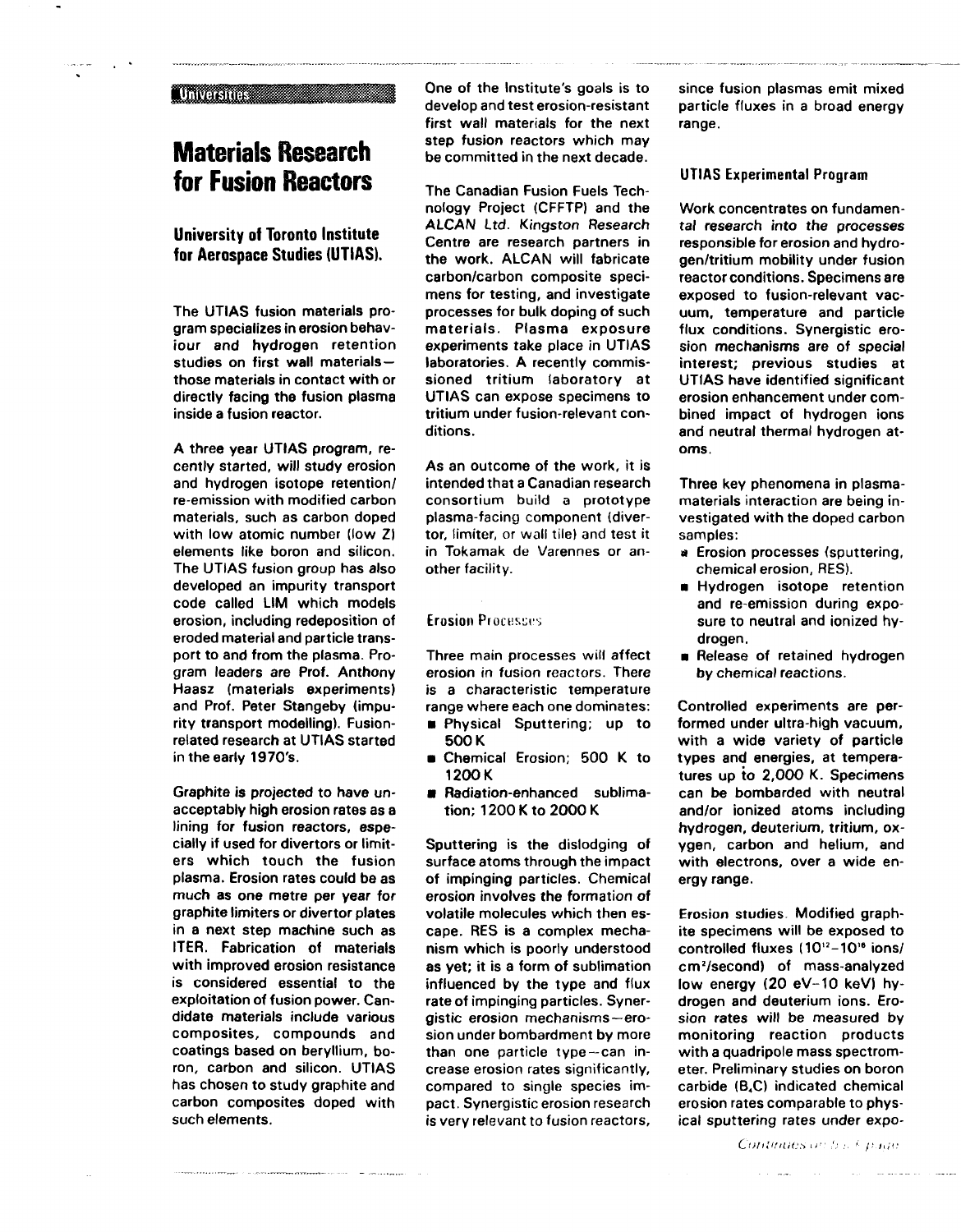#### **Municipales**

# **Materials Research for Fusion Reactors**

**University of Toronto Institute for Aerospace Studies (UTIAS).**

The UTIAS fusion materials program specializes in erosion behaviour and hydrogen retention studies on first wall materials those materials in contact with or directly facing the fusion plasma inside a fusion reactor.

A three year UTIAS program, recently started, will study erosion and hydrogen isotope retention/ re-emission with modified carbon materials, such as carbon doped with low atomic number (low Z) elements like boron and silicon. The UTIAS fusion group has also developed an impurity transport code called LIM which models erosion, including redeposition of eroded material and particle transport to and from the plasma. Program leaders are Prof. Anthony Haasz (materials experiments) and Prof. Peter Stangeby (impurity transport modelling). Fusionrelated research at UTIAS started in the early 1970's.

Graphite is projected to have unacceptably high erosion rates as a lining for fusion reactors, especially if used for divertors or limiters which touch the fusion plasma. Erosion rates could be as much as one metre per year for graphite limiters or divertor plates in a next step machine such as ITER. Fabrication of materials with improved erosion resistance is considered essential to the exploitation of fusion power. Candidate materials include various composites, compounds and coatings based on beryllium, boron, carbon and silicon. UTIAS has chosen to study graphite and carbon composites doped with such elements.

.<br>La provincia del segundo de la provincia del provincia de la provincia de la provincia del provincia del provi

One of the Institute's goals is to develop and test erosion-resistant first wall materials for the next step fusion reactors which may be committed in the next decade.

The Canadian Fusion Fuels Technology Project (CFFTP) and the ALCAN Ltd. Kingston Research Centre are research partners in the work. ALCAN will fabricate carbon/carbon composite specimens for testing, and investigate processes for bulk doping of such materials. Plasma exposure experiments take place in UTIAS laboratories. A recently commissioned tritium laboratory at UTIAS can expose specimens to tritium under fusion-relevant conditions.

As an outcome of the work, it is intended that a Canadian research consortium build a prototype plasma-facing component (divertor, limiter, or wall tile) and test it in Tokamak de Varennes or another facility.

**Erosion**

Three main processes will affect erosion in fusion reactors. There is a characteristic temperature range where each one dominates:

- $\blacksquare$  Physical Sputtering; up to 500 K
- Chemical Erosion; 500 K to 1200K
- Radiation-enhanced sublimation; 1200 K to 2000 K

Sputtering is the dislodging of surface atoms through the impact of impinging particles. Chemical erosion involves the formation of volatile molecules which then escape. RES is a complex mechanism which is poorly understood as yet; it is a form of sublimation influenced by the type and flux rate of impinging particles. Synergistic erosion mechanisms—erosion under bombardment by more than one particle type —can increase erosion rates significantly, compared to single species impact. Synergistic erosion research is very relevant to fusion reactors.

since fusion plasmas emit mixed particle fluxes in a broad energy range.

#### UTIAS Experimental Program

Work concentrates on fundamental research into the processes responsible for erosion and hydrogen/tritium mobility under fusion reactor conditions. Specimens are exposed to fusion-relevant vacuum, temperature and particle flux conditions. Synergistic erosion mechanisms are of special interest; previous studies at UTIAS have identified significant erosion enhancement under combined impact of hydrogen ions and neutral thermal hydrogen atoms.

Three key phenomena in plasmamaterials interaction are being investigated with the doped carbon samples:

- a Erosion processes (sputtering, chemical erosion, RES).
- **n** Hydrogen isotope retention and re-emission during exposure to neutral and ionized hydrogen.
- **n** Release of retained hydrogen by chemical reactions.

Controlled experiments are performed under ultra-high vacuum, with a wide variety of particle types and energies, at temperatures up to 2,000 K. Specimens can be bombarded with neutral and/or ionized atoms including hydrogen, deuterium, tritium, oxygen, carbon and helium, and with electrons, over a wide energy range.

Erosion studies Modified graphite specimens will be exposed to controlled fluxes (10<sup>12</sup>-10<sup>16</sup> ions/ cm<sup>2</sup>/second) of mass-analyzed low energy (20 eV-10 keV) hydrogen and deuterium ions. Erosion rates will be measured by monitoring reaction products with a quadripole mass spectrometer. Preliminary studies on boron carbide (B4C) indicated chemical erosion rates comparable to physical sputtering rates under expo-

Continues on but page

المناطق والمستقل والمستقل والمستنقل والمتناول والمتناول والمتنا والمستقل والمستنقل والمتناول والمتناول والمتناول